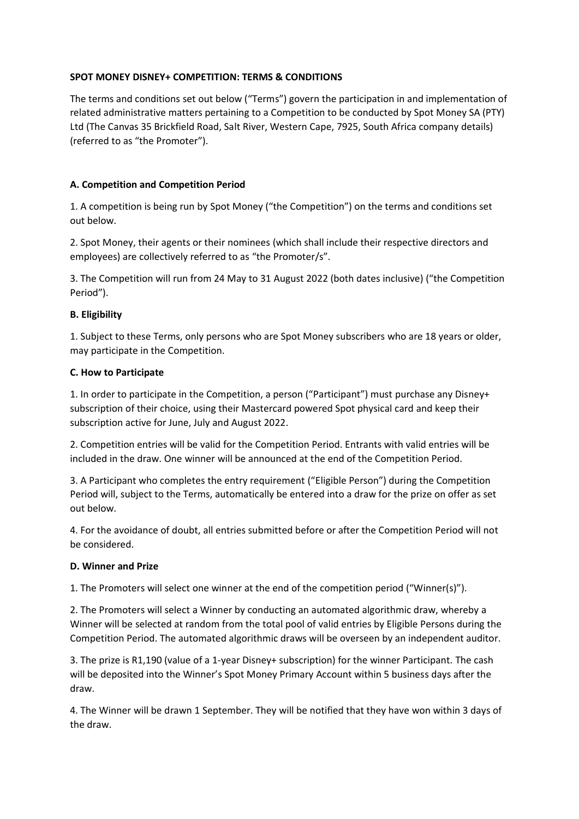### **SPOT MONEY DISNEY+ COMPETITION: TERMS & CONDITIONS**

The terms and conditions set out below ("Terms") govern the participation in and implementation of related administrative matters pertaining to a Competition to be conducted by Spot Money SA (PTY) Ltd (The Canvas 35 Brickfield Road, Salt River, Western Cape, 7925, South Africa company details) (referred to as "the Promoter").

## **A. Competition and Competition Period**

1. A competition is being run by Spot Money ("the Competition") on the terms and conditions set out below.

2. Spot Money, their agents or their nominees (which shall include their respective directors and employees) are collectively referred to as "the Promoter/s".

3. The Competition will run from 24 May to 31 August 2022 (both dates inclusive) ("the Competition Period").

### **B. Eligibility**

1. Subject to these Terms, only persons who are Spot Money subscribers who are 18 years or older, may participate in the Competition.

#### **C. How to Participate**

1. In order to participate in the Competition, a person ("Participant") must purchase any Disney+ subscription of their choice, using their Mastercard powered Spot physical card and keep their subscription active for June, July and August 2022.

2. Competition entries will be valid for the Competition Period. Entrants with valid entries will be included in the draw. One winner will be announced at the end of the Competition Period.

3. A Participant who completes the entry requirement ("Eligible Person") during the Competition Period will, subject to the Terms, automatically be entered into a draw for the prize on offer as set out below.

4. For the avoidance of doubt, all entries submitted before or after the Competition Period will not be considered.

#### **D. Winner and Prize**

1. The Promoters will select one winner at the end of the competition period ("Winner(s)").

2. The Promoters will select a Winner by conducting an automated algorithmic draw, whereby a Winner will be selected at random from the total pool of valid entries by Eligible Persons during the Competition Period. The automated algorithmic draws will be overseen by an independent auditor.

3. The prize is R1,190 (value of a 1-year Disney+ subscription) for the winner Participant. The cash will be deposited into the Winner's Spot Money Primary Account within 5 business days after the draw.

4. The Winner will be drawn 1 September. They will be notified that they have won within 3 days of the draw.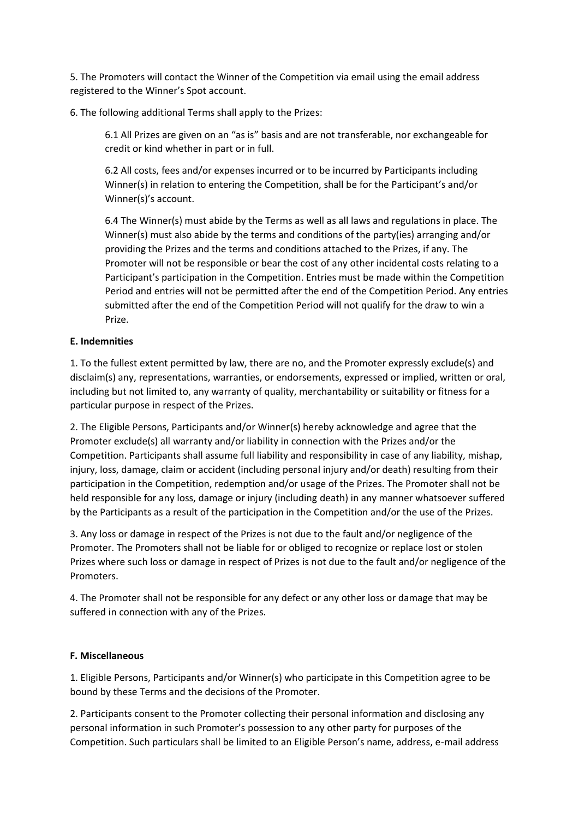5. The Promoters will contact the Winner of the Competition via email using the email address registered to the Winner's Spot account.

6. The following additional Terms shall apply to the Prizes:

6.1 All Prizes are given on an "as is" basis and are not transferable, nor exchangeable for credit or kind whether in part or in full.

6.2 All costs, fees and/or expenses incurred or to be incurred by Participants including Winner(s) in relation to entering the Competition, shall be for the Participant's and/or Winner(s)'s account.

6.4 The Winner(s) must abide by the Terms as well as all laws and regulations in place. The Winner(s) must also abide by the terms and conditions of the party(ies) arranging and/or providing the Prizes and the terms and conditions attached to the Prizes, if any. The Promoter will not be responsible or bear the cost of any other incidental costs relating to a Participant's participation in the Competition. Entries must be made within the Competition Period and entries will not be permitted after the end of the Competition Period. Any entries submitted after the end of the Competition Period will not qualify for the draw to win a Prize.

### **E. Indemnities**

1. To the fullest extent permitted by law, there are no, and the Promoter expressly exclude(s) and disclaim(s) any, representations, warranties, or endorsements, expressed or implied, written or oral, including but not limited to, any warranty of quality, merchantability or suitability or fitness for a particular purpose in respect of the Prizes.

2. The Eligible Persons, Participants and/or Winner(s) hereby acknowledge and agree that the Promoter exclude(s) all warranty and/or liability in connection with the Prizes and/or the Competition. Participants shall assume full liability and responsibility in case of any liability, mishap, injury, loss, damage, claim or accident (including personal injury and/or death) resulting from their participation in the Competition, redemption and/or usage of the Prizes. The Promoter shall not be held responsible for any loss, damage or injury (including death) in any manner whatsoever suffered by the Participants as a result of the participation in the Competition and/or the use of the Prizes.

3. Any loss or damage in respect of the Prizes is not due to the fault and/or negligence of the Promoter. The Promoters shall not be liable for or obliged to recognize or replace lost or stolen Prizes where such loss or damage in respect of Prizes is not due to the fault and/or negligence of the Promoters.

4. The Promoter shall not be responsible for any defect or any other loss or damage that may be suffered in connection with any of the Prizes.

# **F. Miscellaneous**

1. Eligible Persons, Participants and/or Winner(s) who participate in this Competition agree to be bound by these Terms and the decisions of the Promoter.

2. Participants consent to the Promoter collecting their personal information and disclosing any personal information in such Promoter's possession to any other party for purposes of the Competition. Such particulars shall be limited to an Eligible Person's name, address, e-mail address